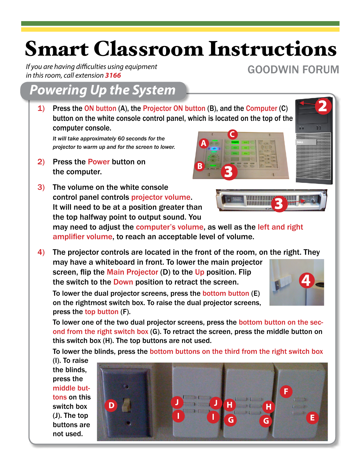# Smart Classroom Instructions

*If you are having difficulties using equipment in this room, call extension 3166*

## *Powering Up the System*

1) Press the ON button (A), the Projector ON button (B), and the Computer (C) button on the white console control panel, which is located on the top of the computer console.

*It will take approximately 60 seconds for the projector to warm up and for the screen to lower.*

- 2) Press the Power button on the computer.
- 3) The volume on the white console control panel controls projector volume. It will need to be at a position greater than the top halfway point to output sound. You

may need to adjust the computer's volume, as well as the left and right amplifier volume, to reach an acceptable level of volume.

4) The projector controls are located in the front of the room, on the right. They may have a whiteboard in front. To lower the main projector screen, flip the Main Projector (D) to the Up position. Flip the switch to the **Down** position to retract the screen.

To lower the dual projector screens, press the bottom button (E) on the rightmost switch box. To raise the dual projector screens, press the top button (F).

To lower one of the two dual projector screens, press the bottom button on the second from the right switch box (G). To retract the screen, press the middle button on this switch box (H). The top buttons are not used.

To lower the blinds, press the bottom buttons on the third from the right switch box

(I). To raise the blinds, press the middle buttons on this switch box (J). The top buttons are not used.





GOODWIN FORUM

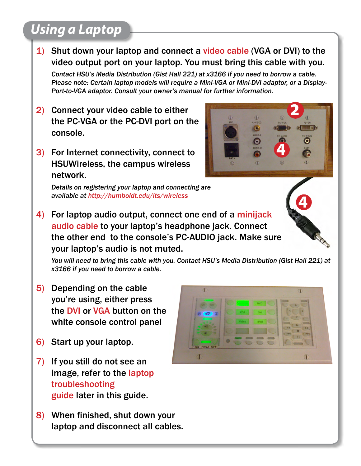# *Using a Laptop*

- 1) Shut down your laptop and connect a video cable (VGA or DVI) to the video output port on your laptop. You must bring this cable with you. *Contact HSU's Media Distribution (Gist Hall 221) at x3166 if you need to borrow a cable. Please note: Certain laptop models will require a Mini-VGA or Mini-DVI adaptor, or a Display-Port-to-VGA adaptor. Consult your owner's manual for further information.* 2) Connect your video cable to either the PC-VGA or the PC-DVI port on the console.  $\bullet$ 3) For Internet connectivity, connect to HSUWireless, the campus wireless network. *Details on registering your laptop and connecting are available at http://humboldt.edu/its/wireless*
- 4) For laptop audio output, connect one end of a minijack audio cable to your laptop's headphone jack. Connect the other end to the console's PC-AUDIO jack. Make sure your laptop's audio is not muted.

*You will need to bring this cable with you. Contact HSU's Media Distribution (Gist Hall 221) at x3166 if you need to borrow a cable.* 

- 5) Depending on the cable you're using, either press the DVI or VGA button on the white console control panel
- 6) Start up your laptop.
- 7) If you still do not see an image, refer to the laptop troubleshooting guide later in this guide.
- 8) When finished, shut down your laptop and disconnect all cables.

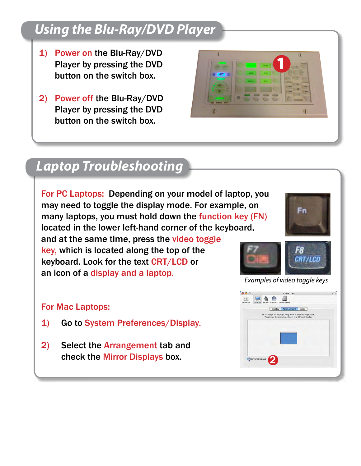# *Using the Blu-Ray/DVD Player*

- 1) Power on the Blu-Ray/DVD Player by pressing the DVD button on the switch box.
- 2) Power off the Blu-Ray/DVD Player by pressing the DVD button on the switch box.



#### *Laptop Troubleshooting*

For PC Laptops: Depending on your model of laptop, you may need to toggle the display mode. For example, on many laptops, you must hold down the function key (FN) located in the lower left-hand corner of the keyboard, and at the same time, press the video toggle key, which is located along the top of the keyboard. Look for the text CRT/LCD or an icon of a display and a laptop.

#### For Mac Laptops:

- 1) Go to System Preferences/Display.
- 2) Select the Arrangement tab and check the Mirror Displays box.





*Examples of video toggle keys*

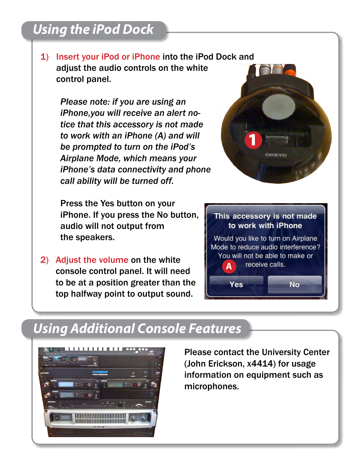# *Using the iPod Dock*

1) Insert your iPod or iPhone into the iPod Dock and adjust the audio controls on the white control panel.

*Please note: if you are using an iPhone,you will receive an alert notice that this accessory is not made to work with an iPhone (A) and will be prompted to turn on the iPod's Airplane Mode, which means your iPhone's data connectivity and phone call ability will be turned off.*

 Press the Yes button on your iPhone. If you press the No button, audio will not output from the speakers.

2) Adjust the volume on the white console control panel. It will need to be at a position greater than the top halfway point to output sound.

This accessory is not made to work with iPhone Would you like to turn on Airplane Mode to reduce audio interference? You will not be able to make or receive calls. **A** Yes Νo

**CINTETUS** 

#### *Using Additional Console Features*



Please contact the University Center (John Erickson, x4414) for usage information on equipment such as microphones.